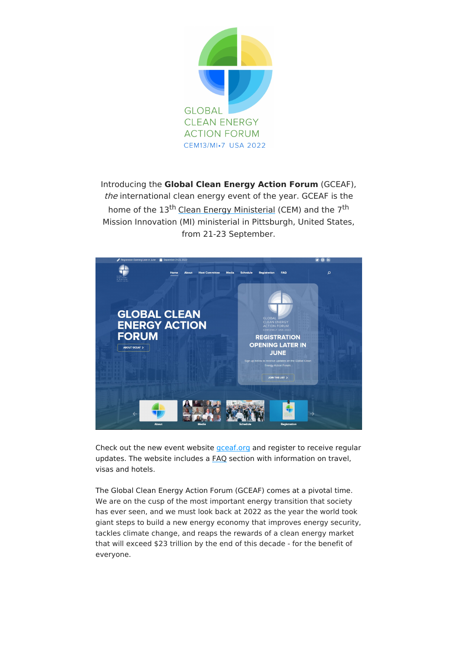

Introducing the **Global Clean Energy Action Forum** (GCEAF), the international clean energy event of the year. GCEAF is the home of the 13<sup>th</sup> Clean Energy [Ministerial](http://www.cleanenergyministerial.org/) (CEM) and the 7<sup>th</sup> Mission Innovation (MI) ministerial in Pittsburgh, United States, from 21-23 September.



Check out the new event website [gceaf.org](https://gceaf.org/) and register to receive regular updates. The website includes a [FAQ](https://gceaf.org/faq/) section with information on travel, visas and hotels.

The Global Clean Energy Action Forum (GCEAF) comes at a pivotal time. We are on the cusp of the most important energy transition that society has ever seen, and we must look back at 2022 as the year the world took giant steps to build a new energy economy that improves energy security, tackles climate change, and reaps the rewards of a clean energy market that will exceed \$23 trillion by the end of this decade - for the benefit of everyone.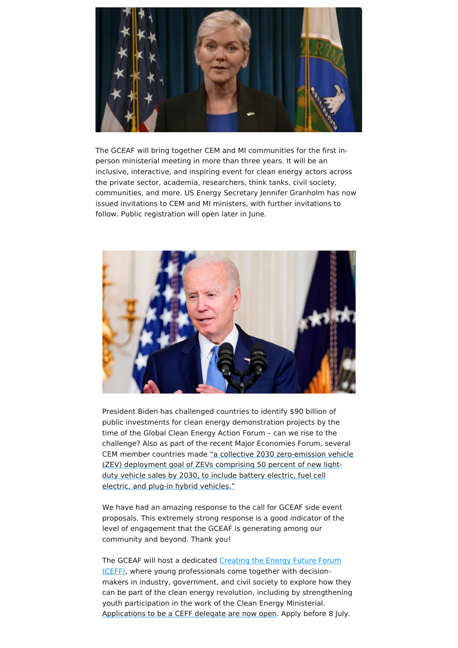

The GCEAF will bring together CEM and MI communities for the first inperson ministerial meeting in more than three years. It will be an inclusive, interactive, and inspiring event for clean energy actors across the private sector, academia, researchers, think tanks, civil society, communities, and more. US Energy Secretary Jennifer Granholm has now issued invitations to CEM and MI ministers, with further invitations to follow. Public registration will open later in June.



President Biden has challenged countries to identify \$90 billion of public investments for clean energy demonstration projects by the time of the Global Clean Energy Action Forum – can we rise to the challenge? Also as part of the recent Major Economies Forum, several CEM member countries made "a collective 2030 [zero-emission](http://www.whitehouse.gov/briefing-room/statements-releases/2022/06/18/chairs-summary-of-the-major-economies-forum-on-energy-and-climate-held-by-president-joe-biden) vehicle (ZEV) deployment goal of ZEVs comprising 50 percent of new lightduty vehicle sales by 2030, to include battery electric, fuel cell electric, and plug-in hybrid vehicles."

We have had an amazing response to the call for GCEAF side event proposals. This extremely strong response is a good indicator of the level of engagement that the GCEAF is generating among our community and beyond. Thank you!

The GCEAF will host a dedicated Creating the Energy Future Forum (CEFF), where young [professionals](https://studentenergy.tfaforms.net/34) come together with decisionmakers in industry, government, and civil society to explore how they can be part of the clean energy revolution, including by strengthening youth participation in the work of the Clean Energy Ministerial. [Applications](https://studentenergy.tfaforms.net/34) to be a CEFF delegate are now open. Apply before 8 July.